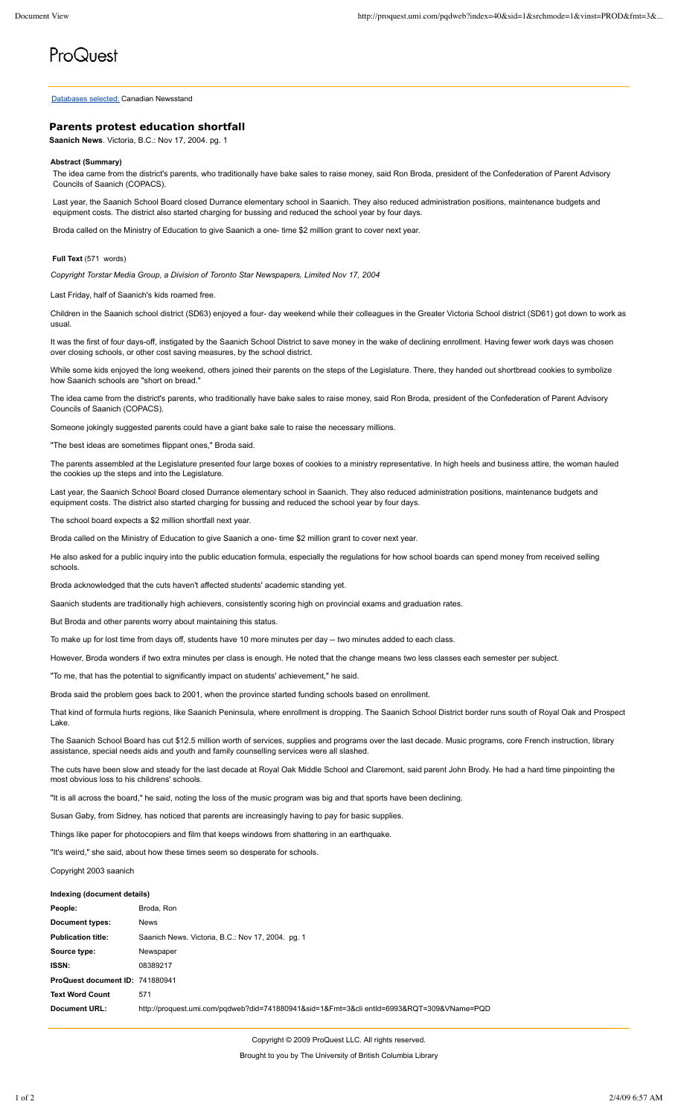# ProQuest

Databases selected: Canadian Newsstand

# **Parents protest education shortfall**

**Saanich News**. Victoria, B.C.: Nov 17, 2004. pg. 1

### **Abstract (Summary)**

The idea came from the district's parents, who traditionally have bake sales to raise money, said Ron Broda, president of the Confederation of Parent Advisory Councils of Saanich (COPACS).

Last year, the Saanich School Board closed Durrance elementary school in Saanich. They also reduced administration positions, maintenance budgets and equipment costs. The district also started charging for bussing and reduced the school year by four days.

Broda called on the Ministry of Education to give Saanich a one- time \$2 million grant to cover next year.

## **Full Text** (571 words)

*Copyright Torstar Media Group, a Division of Toronto Star Newspapers, Limited Nov 17, 2004*

#### Last Friday, half of Saanich's kids roamed free.

Children in the Saanich school district (SD63) enjoyed a four- day weekend while their colleagues in the Greater Victoria School district (SD61) got down to work as usual.

It was the first of four days-off, instigated by the Saanich School District to save money in the wake of declining enrollment. Having fewer work days was chosen over closing schools, or other cost saving measures, by the school district.

While some kids enjoyed the long weekend, others joined their parents on the steps of the Legislature. There, they handed out shortbread cookies to symbolize how Saanich schools are "short on bread."

The idea came from the district's parents, who traditionally have bake sales to raise money, said Ron Broda, president of the Confederation of Parent Advisory Councils of Saanich (COPACS).

Someone jokingly suggested parents could have a giant bake sale to raise the necessary millions.

"The best ideas are sometimes flippant ones," Broda said.

The parents assembled at the Legislature presented four large boxes of cookies to a ministry representative. In high heels and business attire, the woman hauled the cookies up the steps and into the Legislature.

Last year, the Saanich School Board closed Durrance elementary school in Saanich. They also reduced administration positions, maintenance budgets and equipment costs. The district also started charging for bussing and reduced the school year by four days.

The school board expects a \$2 million shortfall next year.

Broda called on the Ministry of Education to give Saanich a one- time \$2 million grant to cover next year.

He also asked for a public inquiry into the public education formula, especially the regulations for how school boards can spend money from received selling schools.

Broda acknowledged that the cuts haven't affected students' academic standing yet.

Saanich students are traditionally high achievers, consistently scoring high on provincial exams and graduation rates.

But Broda and other parents worry about maintaining this status.

To make up for lost time from days off, students have 10 more minutes per day -- two minutes added to each class.

However, Broda wonders if two extra minutes per class is enough. He noted that the change means two less classes each semester per subject.

"To me, that has the potential to significantly impact on students' achievement," he said.

Broda said the problem goes back to 2001, when the province started funding schools based on enrollment.

That kind of formula hurts regions, like Saanich Peninsula, where enrollment is dropping. The Saanich School District border runs south of Royal Oak and Prospect Lake.

The Saanich School Board has cut \$12.5 million worth of services, supplies and programs over the last decade. Music programs, core French instruction, library assistance, special needs aids and youth and family counselling services were all slashed.

The cuts have been slow and steady for the last decade at Royal Oak Middle School and Claremont, said parent John Brody. He had a hard time pinpointing the most obvious loss to his childrens' schools.

"It is all across the board," he said, noting the loss of the music program was big and that sports have been declining.

Susan Gaby, from Sidney, has noticed that parents are increasingly having to pay for basic supplies.

Things like paper for photocopiers and film that keeps windows from shattering in an earthquake.

"It's weird," she said, about how these times seem so desperate for schools.

Copyright 2003 saanich

#### **Indexing (document details)**

| People:                         | Broda, Ron                                                                                |
|---------------------------------|-------------------------------------------------------------------------------------------|
| Document types:                 | <b>News</b>                                                                               |
| <b>Publication title:</b>       | Saanich News. Victoria, B.C.: Nov 17, 2004. pg. 1                                         |
| Source type:                    | Newspaper                                                                                 |
| <b>ISSN:</b>                    | 08389217                                                                                  |
| ProQuest document ID: 741880941 |                                                                                           |
| <b>Text Word Count</b>          | 571                                                                                       |
| Document URL:                   | http://proquest.umi.com/pqdweb?did=741880941&sid=1&Fmt=3&cli entId=6993&RQT=309&VName=PQD |
|                                 |                                                                                           |

Copyright © 2009 ProQuest LLC. All rights reserved. Brought to you by The University of British Columbia Library